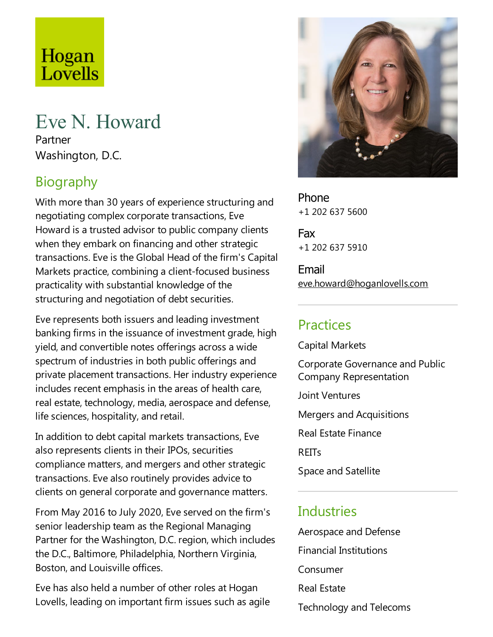# Hogan Lovells

# Eve N. Howard

Partner Washington, D.C.

# **Biography**

With more than 30 years of experience structuring and negotiating complex corporate transactions, Eve Howard is a trusted advisor to public company clients when they embark on financing and other strategic transactions. Eve is the Global Head of the firm's Capital Markets practice, combining a client-focused business practicality with substantial knowledge of the structuring and negotiation of debt securities.

Eve represents both issuers and leading investment banking firms in the issuance of investment grade, high yield, and convertible notes offerings across a wide spectrum of industries in both public offerings and private placement transactions. Her industry experience includes recent emphasis in the areas of health care, real estate, technology, media, aerospace and defense, life sciences, hospitality, and retail.

In addition to debt capital markets transactions, Eve also represents clients in their IPOs, securities compliance matters, and mergers and other strategic transactions. Eve also routinely provides advice to clients on general corporate and governance matters.

From May 2016 to July 2020, Eve served on the firm's senior leadership team as the Regional Managing Partner for the Washington, D.C. region, which includes the D.C., Baltimore, Philadelphia, Northern Virginia, Boston, and Louisville offices.

Eve has also held a number of other roles at Hogan Lovells, leading on important firm issues such as agile



Phone +1 202 637 5600

Fax +1 202 637 5910

Email eve.howard@hoganlovells.com

# Practices

Capital Markets Corporate Governanceand Public Company Representation

Joint Ventures

Mergers and Acquisitions

Real Estate Finance

REITs

Space and Satellite

#### **Industries**

Aerospace and Defense Financial Institutions Consumer Real Estate Technology and Telecoms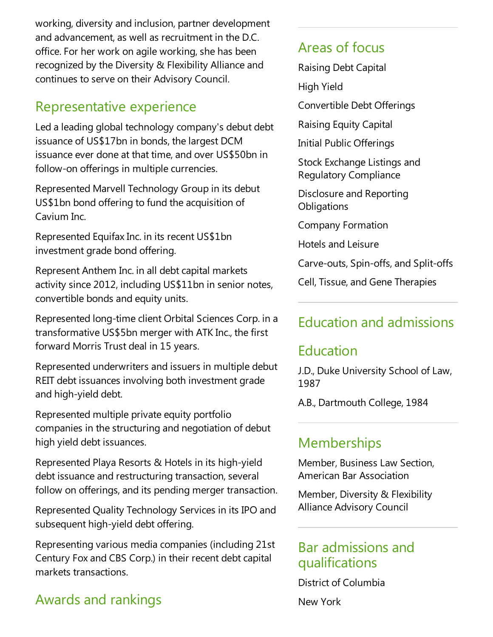working, diversity and inclusion, partner development and advancement, as well as recruitment in the D.C. office.For her work on agile working, she has been recognized by the Diversity & Flexibility Alliance and continues to serve on their Advisory Council.

#### Representative experience

Led a leading global technology company's debut debt issuance of US\$17bn in bonds, the largest DCM issuance ever done at that time, and over US\$50bn in follow-on offerings in multiple currencies.

Represented Marvell Technology Group in its debut US\$1bn bond offering to fund the acquisition of Cavium Inc.

Represented Equifax Inc. in its recent US\$1bn investment grade bond offering.

Represent Anthem Inc. in all debt capital markets activity since 2012, including US\$11bn in senior notes, convertible bonds and equity units.

Represented long-time client Orbital Sciences Corp. in a transformative US\$5bn merger with ATK Inc., the first forward Morris Trust deal in 15 years.

Represented underwriters and issuers in multiple debut REIT debt issuances involving both investment grade and high-yield debt.

Represented multiple private equity portfolio companies in the structuring and negotiation of debut high yield debt issuances.

Represented Playa Resorts & Hotels in its high-yield debt issuance and restructuring transaction, several follow on offerings, and its pending merger transaction.

Represented Quality Technology Services in its IPO and subsequent high-yield debt offering.

Representing various media companies (including 21st Century Fox and CBS Corp.) in their recent debt capital markets transactions.

# Awards and rankings

#### Areas of focus

Raising Debt Capital

High Yield

Convertible Debt Offerings

Raising Equity Capital

Initial Public Offerings

Stock Exchange Listings and Regulatory Compliance

Disclosure and Reporting **Obligations** 

Company Formation

Hotels and Leisure

Carve-outs, Spin-offs,and Split-offs

Cell, Tissue, and Gene Therapies

# Education and admissions

# Education

J.D., Duke University School of Law, 1987

A.B., Dartmouth College, 1984

# **Memberships**

Member, Business Law Section, American Bar Association

Member, Diversity & Flexibility Alliance Advisory Council

#### Bar admissions and qualifications

District of Columbia New York